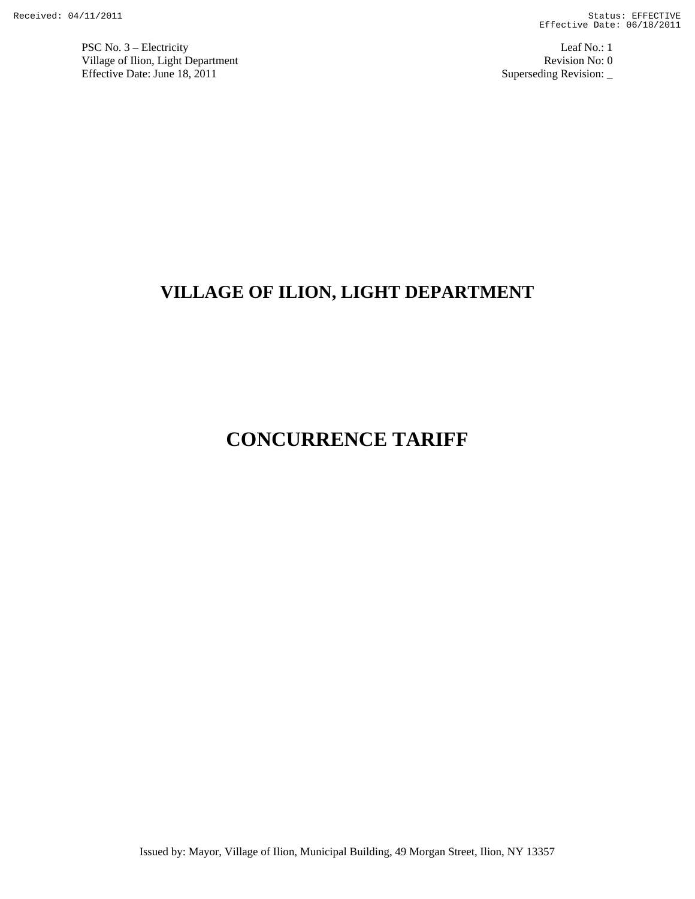PSC No. 3 – Electricity Leaf No.: 1 Village of Ilion, Light Department Revision No: 0 Effective Date: June 18, 2011 Superseding Revision:

# **VILLAGE OF ILION, LIGHT DEPARTMENT**

# **CONCURRENCE TARIFF**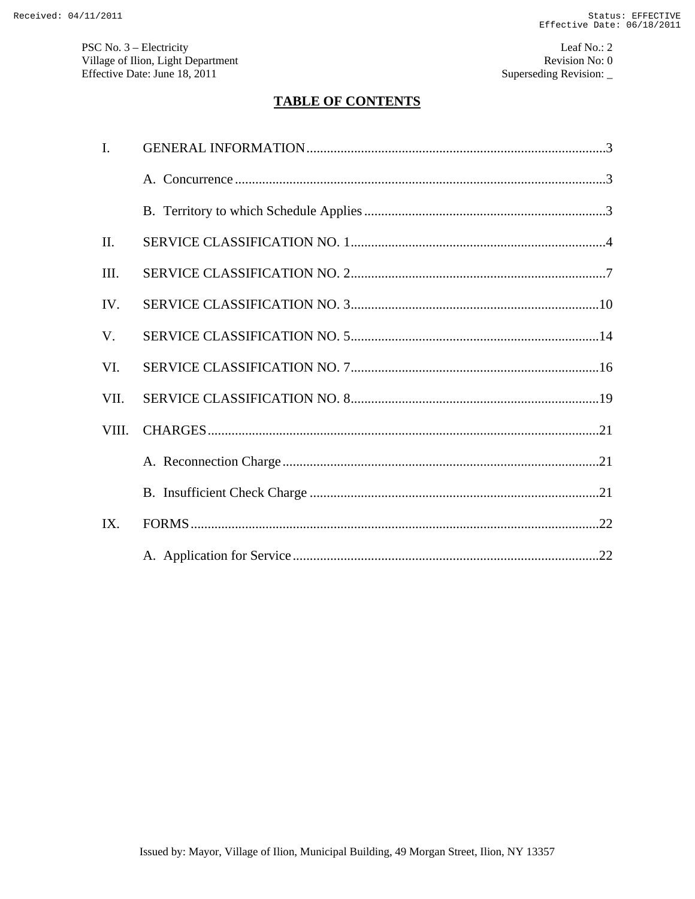PSC No. 3 – Electricity Leaf No.: 2 Village of Ilion, Light Department Revision No: 0 Effective Date: June 18, 2011 Superseding Revision:

# **TABLE OF CONTENTS**

| $\mathbf{I}$ . |  |
|----------------|--|
|                |  |
|                |  |
| II.            |  |
| III.           |  |
| IV.            |  |
| V.             |  |
| VI.            |  |
| VII.           |  |
| VIII.          |  |
|                |  |
|                |  |
| IX.            |  |
|                |  |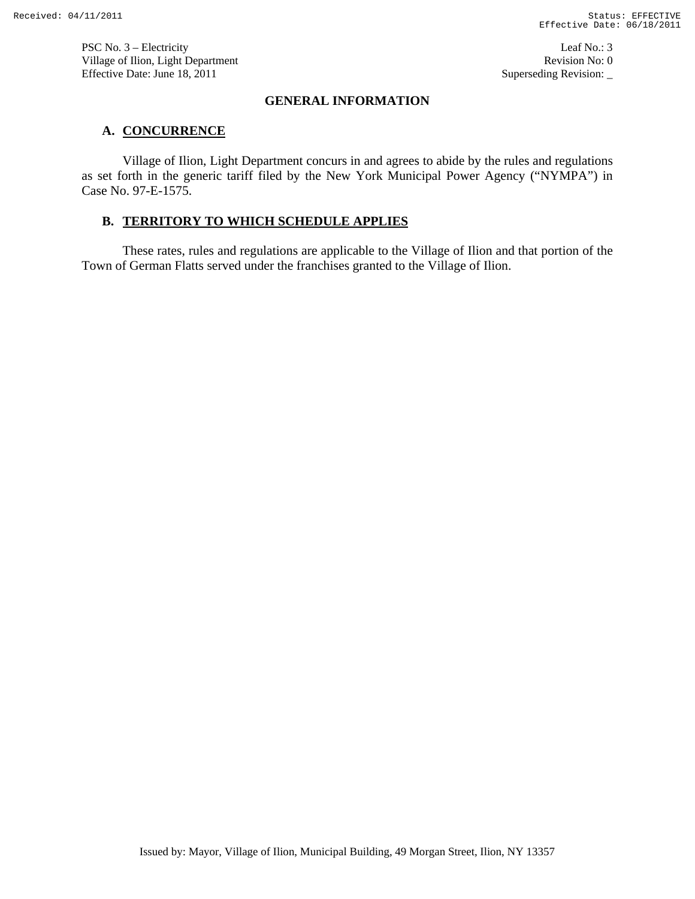PSC No. 3 – Electricity Leaf No.: 3 Village of Ilion, Light Department Revision No: 0 Effective Date: June 18, 2011 Superseding Revision:

# **GENERAL INFORMATION**

# **A. CONCURRENCE**

Village of Ilion, Light Department concurs in and agrees to abide by the rules and regulations as set forth in the generic tariff filed by the New York Municipal Power Agency ("NYMPA") in Case No. 97-E-1575.

# **B. TERRITORY TO WHICH SCHEDULE APPLIES**

These rates, rules and regulations are applicable to the Village of Ilion and that portion of the Town of German Flatts served under the franchises granted to the Village of Ilion.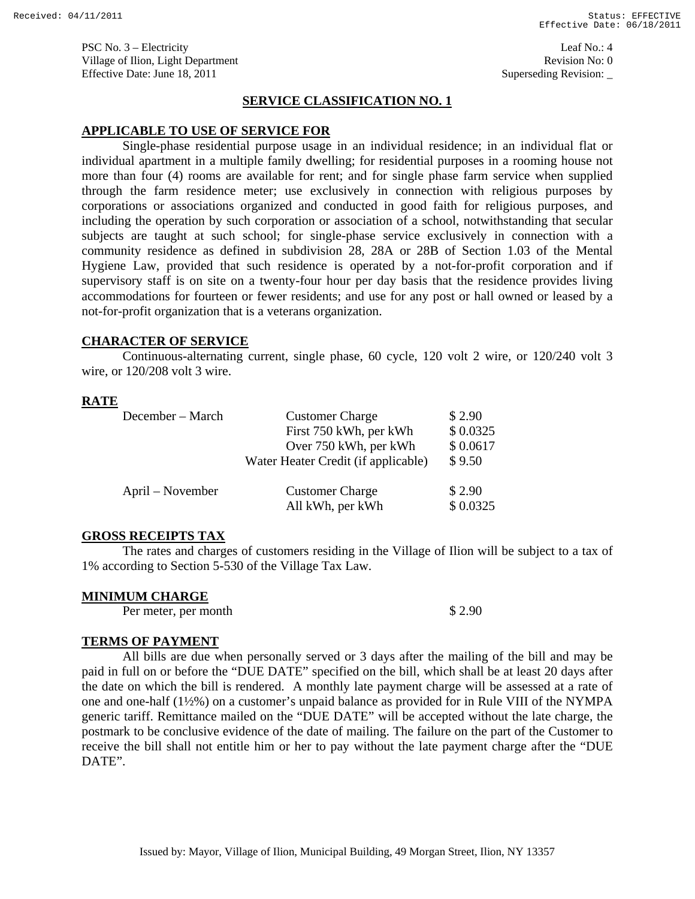PSC No. 3 – Electricity Leaf No.: 4 Village of Ilion, Light Department **Revision No: 0 Revision No: 0** Effective Date: June 18, 2011 Superseding Revision:

### **SERVICE CLASSIFICATION NO. 1**

### **APPLICABLE TO USE OF SERVICE FOR**

 Single-phase residential purpose usage in an individual residence; in an individual flat or individual apartment in a multiple family dwelling; for residential purposes in a rooming house not more than four (4) rooms are available for rent; and for single phase farm service when supplied through the farm residence meter; use exclusively in connection with religious purposes by corporations or associations organized and conducted in good faith for religious purposes, and including the operation by such corporation or association of a school, notwithstanding that secular subjects are taught at such school; for single-phase service exclusively in connection with a community residence as defined in subdivision 28, 28A or 28B of Section 1.03 of the Mental Hygiene Law, provided that such residence is operated by a not-for-profit corporation and if supervisory staff is on site on a twenty-four hour per day basis that the residence provides living accommodations for fourteen or fewer residents; and use for any post or hall owned or leased by a not-for-profit organization that is a veterans organization.

#### **CHARACTER OF SERVICE**

 Continuous-alternating current, single phase, 60 cycle, 120 volt 2 wire, or 120/240 volt 3 wire, or 120/208 volt 3 wire.

#### **RATE**

| December – March | <b>Customer Charge</b>                     | \$2.90             |
|------------------|--------------------------------------------|--------------------|
|                  | First 750 kWh, per kWh                     | \$0.0325           |
|                  | Over 750 kWh, per kWh                      | \$0.0617           |
|                  | Water Heater Credit (if applicable)        | \$9.50             |
| April – November | <b>Customer Charge</b><br>All kWh, per kWh | \$2.90<br>\$0.0325 |

### **GROSS RECEIPTS TAX**

 The rates and charges of customers residing in the Village of Ilion will be subject to a tax of 1% according to Section 5-530 of the Village Tax Law.

#### **MINIMUM CHARGE**

Per meter, per month  $$ 2.90$ 

#### **TERMS OF PAYMENT**

All bills are due when personally served or 3 days after the mailing of the bill and may be paid in full on or before the "DUE DATE" specified on the bill, which shall be at least 20 days after the date on which the bill is rendered. A monthly late payment charge will be assessed at a rate of one and one-half (1½%) on a customer's unpaid balance as provided for in Rule VIII of the NYMPA generic tariff. Remittance mailed on the "DUE DATE" will be accepted without the late charge, the postmark to be conclusive evidence of the date of mailing. The failure on the part of the Customer to receive the bill shall not entitle him or her to pay without the late payment charge after the "DUE DATE".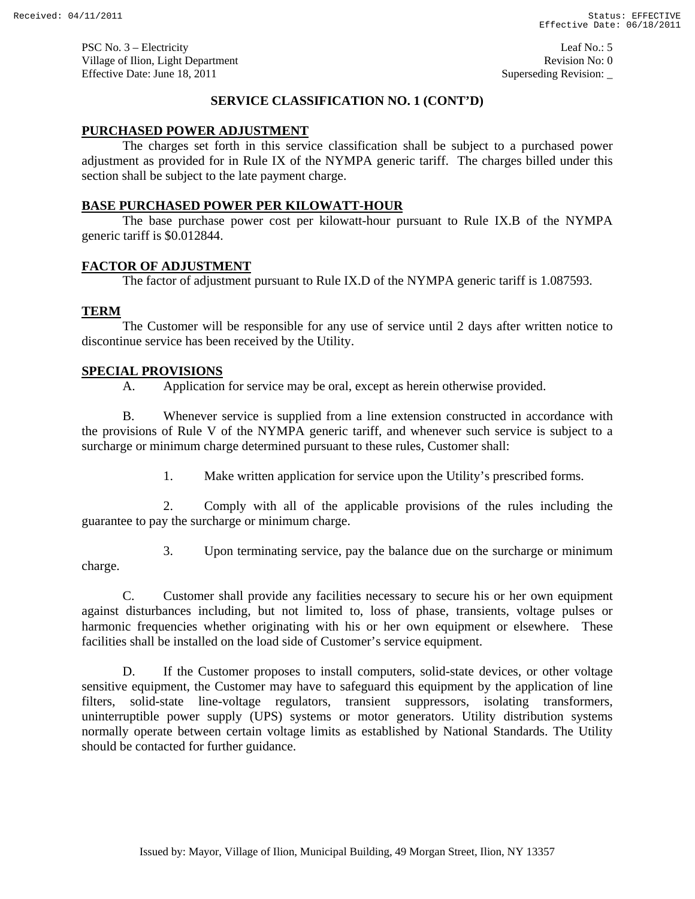PSC No. 3 – Electricity Leaf No.: 5 Village of Ilion, Light Department **Revision No: 0 Revision No: 0** Effective Date: June 18, 2011 Superseding Revision:

### **SERVICE CLASSIFICATION NO. 1 (CONT'D)**

### **PURCHASED POWER ADJUSTMENT**

 The charges set forth in this service classification shall be subject to a purchased power adjustment as provided for in Rule IX of the NYMPA generic tariff. The charges billed under this section shall be subject to the late payment charge.

### **BASE PURCHASED POWER PER KILOWATT-HOUR**

 The base purchase power cost per kilowatt-hour pursuant to Rule IX.B of the NYMPA generic tariff is \$0.012844.

### **FACTOR OF ADJUSTMENT**

The factor of adjustment pursuant to Rule IX.D of the NYMPA generic tariff is 1.087593.

### **TERM**

 The Customer will be responsible for any use of service until 2 days after written notice to discontinue service has been received by the Utility.

### **SPECIAL PROVISIONS**

A. Application for service may be oral, except as herein otherwise provided.

B. Whenever service is supplied from a line extension constructed in accordance with the provisions of Rule V of the NYMPA generic tariff, and whenever such service is subject to a surcharge or minimum charge determined pursuant to these rules, Customer shall:

1. Make written application for service upon the Utility's prescribed forms.

2. Comply with all of the applicable provisions of the rules including the guarantee to pay the surcharge or minimum charge.

3. Upon terminating service, pay the balance due on the surcharge or minimum

charge.

C. Customer shall provide any facilities necessary to secure his or her own equipment against disturbances including, but not limited to, loss of phase, transients, voltage pulses or harmonic frequencies whether originating with his or her own equipment or elsewhere. These facilities shall be installed on the load side of Customer's service equipment.

D. If the Customer proposes to install computers, solid-state devices, or other voltage sensitive equipment, the Customer may have to safeguard this equipment by the application of line filters, solid-state line-voltage regulators, transient suppressors, isolating transformers, uninterruptible power supply (UPS) systems or motor generators. Utility distribution systems normally operate between certain voltage limits as established by National Standards. The Utility should be contacted for further guidance.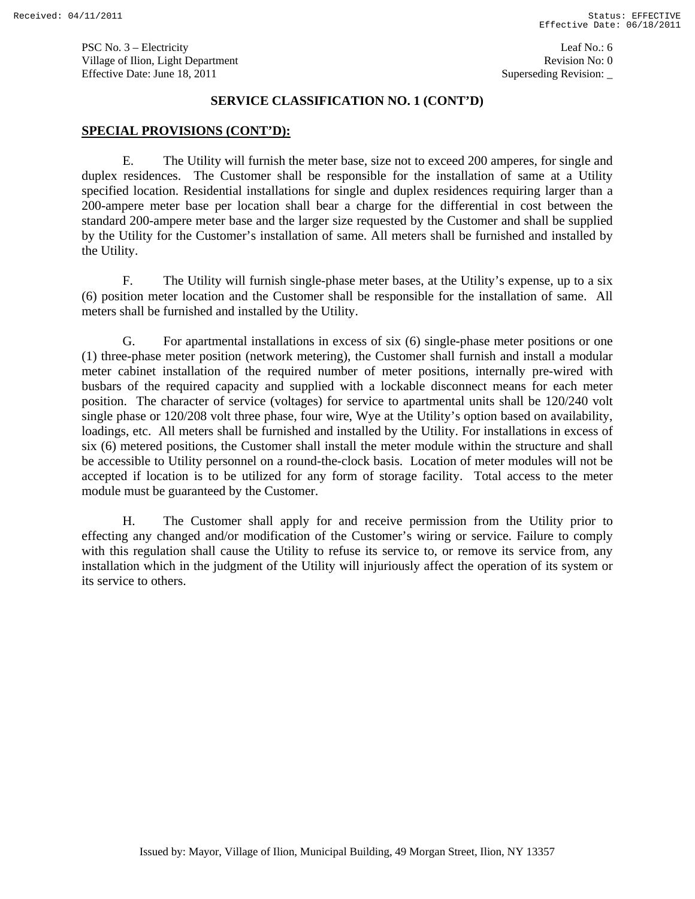PSC No. 3 – Electricity Leaf No.: 6 Village of Ilion, Light Department **Revision No: 0 Revision No: 0** Effective Date: June 18, 2011 Superseding Revision:

#### **SERVICE CLASSIFICATION NO. 1 (CONT'D)**

#### **SPECIAL PROVISIONS (CONT'D):**

E. The Utility will furnish the meter base, size not to exceed 200 amperes, for single and duplex residences. The Customer shall be responsible for the installation of same at a Utility specified location. Residential installations for single and duplex residences requiring larger than a 200-ampere meter base per location shall bear a charge for the differential in cost between the standard 200-ampere meter base and the larger size requested by the Customer and shall be supplied by the Utility for the Customer's installation of same. All meters shall be furnished and installed by the Utility.

F. The Utility will furnish single-phase meter bases, at the Utility's expense, up to a six (6) position meter location and the Customer shall be responsible for the installation of same. All meters shall be furnished and installed by the Utility.

G. For apartmental installations in excess of six (6) single-phase meter positions or one (1) three-phase meter position (network metering), the Customer shall furnish and install a modular meter cabinet installation of the required number of meter positions, internally pre-wired with busbars of the required capacity and supplied with a lockable disconnect means for each meter position. The character of service (voltages) for service to apartmental units shall be 120/240 volt single phase or 120/208 volt three phase, four wire, Wye at the Utility's option based on availability, loadings, etc. All meters shall be furnished and installed by the Utility. For installations in excess of six (6) metered positions, the Customer shall install the meter module within the structure and shall be accessible to Utility personnel on a round-the-clock basis. Location of meter modules will not be accepted if location is to be utilized for any form of storage facility. Total access to the meter module must be guaranteed by the Customer.

H. The Customer shall apply for and receive permission from the Utility prior to effecting any changed and/or modification of the Customer's wiring or service. Failure to comply with this regulation shall cause the Utility to refuse its service to, or remove its service from, any installation which in the judgment of the Utility will injuriously affect the operation of its system or its service to others.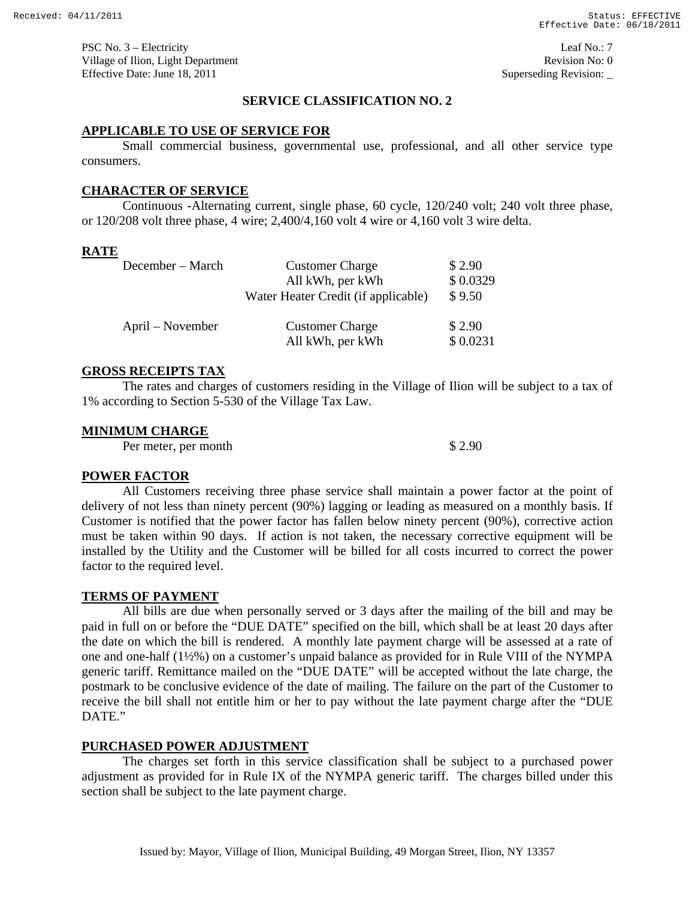PSC No. 3 – Electricity Leaf No.: 7 Village of Ilion, Light Department **Revision No: 0 Revision No: 0** Effective Date: June 18, 2011 Superseding Revision:

### **SERVICE CLASSIFICATION NO. 2**

### **APPLICABLE TO USE OF SERVICE FOR**

Small commercial business, governmental use, professional, and all other service type consumers.

### **CHARACTER OF SERVICE**

Continuous -Alternating current, single phase, 60 cycle, 120/240 volt; 240 volt three phase, or 120/208 volt three phase, 4 wire; 2,400/4,160 volt 4 wire or 4,160 volt 3 wire delta.

### **RATE**

| December – March | <b>Customer Charge</b>                     | \$2.90             |
|------------------|--------------------------------------------|--------------------|
|                  | All kWh, per kWh                           | \$0.0329           |
|                  | Water Heater Credit (if applicable)        | \$9.50             |
| April – November | <b>Customer Charge</b><br>All kWh, per kWh | \$2.90<br>\$0.0231 |

### **GROSS RECEIPTS TAX**

The rates and charges of customers residing in the Village of Ilion will be subject to a tax of 1% according to Section 5-530 of the Village Tax Law.

#### **MINIMUM CHARGE**

Per meter, per month  $$ 2.90$ 

#### **POWER FACTOR**

All Customers receiving three phase service shall maintain a power factor at the point of delivery of not less than ninety percent (90%) lagging or leading as measured on a monthly basis. If Customer is notified that the power factor has fallen below ninety percent (90%), corrective action must be taken within 90 days. If action is not taken, the necessary corrective equipment will be installed by the Utility and the Customer will be billed for all costs incurred to correct the power factor to the required level.

#### **TERMS OF PAYMENT**

All bills are due when personally served or 3 days after the mailing of the bill and may be paid in full on or before the "DUE DATE" specified on the bill, which shall be at least 20 days after the date on which the bill is rendered. A monthly late payment charge will be assessed at a rate of one and one-half (1½%) on a customer's unpaid balance as provided for in Rule VIII of the NYMPA generic tariff. Remittance mailed on the "DUE DATE" will be accepted without the late charge, the postmark to be conclusive evidence of the date of mailing. The failure on the part of the Customer to receive the bill shall not entitle him or her to pay without the late payment charge after the "DUE DATE."

#### **PURCHASED POWER ADJUSTMENT**

The charges set forth in this service classification shall be subject to a purchased power adjustment as provided for in Rule IX of the NYMPA generic tariff. The charges billed under this section shall be subject to the late payment charge.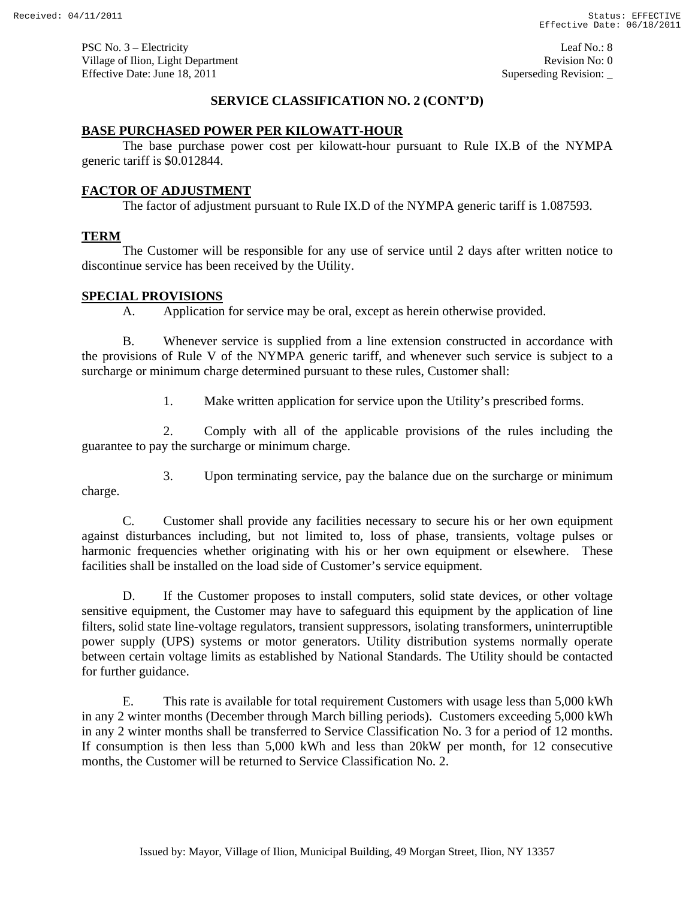PSC No. 3 – Electricity Leaf No.: 8 Village of Ilion, Light Department **Revision No: 0 Revision No: 0** Effective Date: June 18, 2011 Superseding Revision:

### **SERVICE CLASSIFICATION NO. 2 (CONT'D)**

### **BASE PURCHASED POWER PER KILOWATT-HOUR**

 The base purchase power cost per kilowatt-hour pursuant to Rule IX.B of the NYMPA generic tariff is \$0.012844.

# **FACTOR OF ADJUSTMENT**

The factor of adjustment pursuant to Rule IX.D of the NYMPA generic tariff is 1.087593.

### **TERM**

 The Customer will be responsible for any use of service until 2 days after written notice to discontinue service has been received by the Utility.

### **SPECIAL PROVISIONS**

A. Application for service may be oral, except as herein otherwise provided.

B. Whenever service is supplied from a line extension constructed in accordance with the provisions of Rule V of the NYMPA generic tariff, and whenever such service is subject to a surcharge or minimum charge determined pursuant to these rules, Customer shall:

1. Make written application for service upon the Utility's prescribed forms.

2. Comply with all of the applicable provisions of the rules including the guarantee to pay the surcharge or minimum charge.

3. Upon terminating service, pay the balance due on the surcharge or minimum

charge.

C. Customer shall provide any facilities necessary to secure his or her own equipment against disturbances including, but not limited to, loss of phase, transients, voltage pulses or harmonic frequencies whether originating with his or her own equipment or elsewhere. These facilities shall be installed on the load side of Customer's service equipment.

D. If the Customer proposes to install computers, solid state devices, or other voltage sensitive equipment, the Customer may have to safeguard this equipment by the application of line filters, solid state line-voltage regulators, transient suppressors, isolating transformers, uninterruptible power supply (UPS) systems or motor generators. Utility distribution systems normally operate between certain voltage limits as established by National Standards. The Utility should be contacted for further guidance.

E. This rate is available for total requirement Customers with usage less than 5,000 kWh in any 2 winter months (December through March billing periods). Customers exceeding 5,000 kWh in any 2 winter months shall be transferred to Service Classification No. 3 for a period of 12 months. If consumption is then less than 5,000 kWh and less than 20kW per month, for 12 consecutive months, the Customer will be returned to Service Classification No. 2.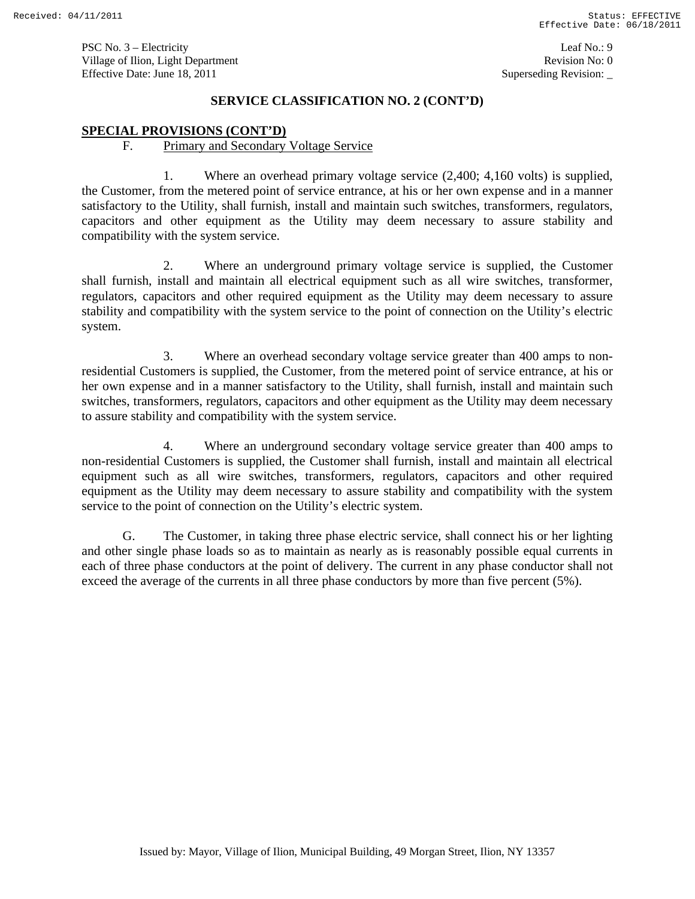### **SERVICE CLASSIFICATION NO. 2 (CONT'D)**

### **SPECIAL PROVISIONS (CONT'D)**

### F. Primary and Secondary Voltage Service

1. Where an overhead primary voltage service (2,400; 4,160 volts) is supplied, the Customer, from the metered point of service entrance, at his or her own expense and in a manner satisfactory to the Utility, shall furnish, install and maintain such switches, transformers, regulators, capacitors and other equipment as the Utility may deem necessary to assure stability and compatibility with the system service.

2. Where an underground primary voltage service is supplied, the Customer shall furnish, install and maintain all electrical equipment such as all wire switches, transformer, regulators, capacitors and other required equipment as the Utility may deem necessary to assure stability and compatibility with the system service to the point of connection on the Utility's electric system.

3. Where an overhead secondary voltage service greater than 400 amps to nonresidential Customers is supplied, the Customer, from the metered point of service entrance, at his or her own expense and in a manner satisfactory to the Utility, shall furnish, install and maintain such switches, transformers, regulators, capacitors and other equipment as the Utility may deem necessary to assure stability and compatibility with the system service.

4. Where an underground secondary voltage service greater than 400 amps to non-residential Customers is supplied, the Customer shall furnish, install and maintain all electrical equipment such as all wire switches, transformers, regulators, capacitors and other required equipment as the Utility may deem necessary to assure stability and compatibility with the system service to the point of connection on the Utility's electric system.

G. The Customer, in taking three phase electric service, shall connect his or her lighting and other single phase loads so as to maintain as nearly as is reasonably possible equal currents in each of three phase conductors at the point of delivery. The current in any phase conductor shall not exceed the average of the currents in all three phase conductors by more than five percent (5%).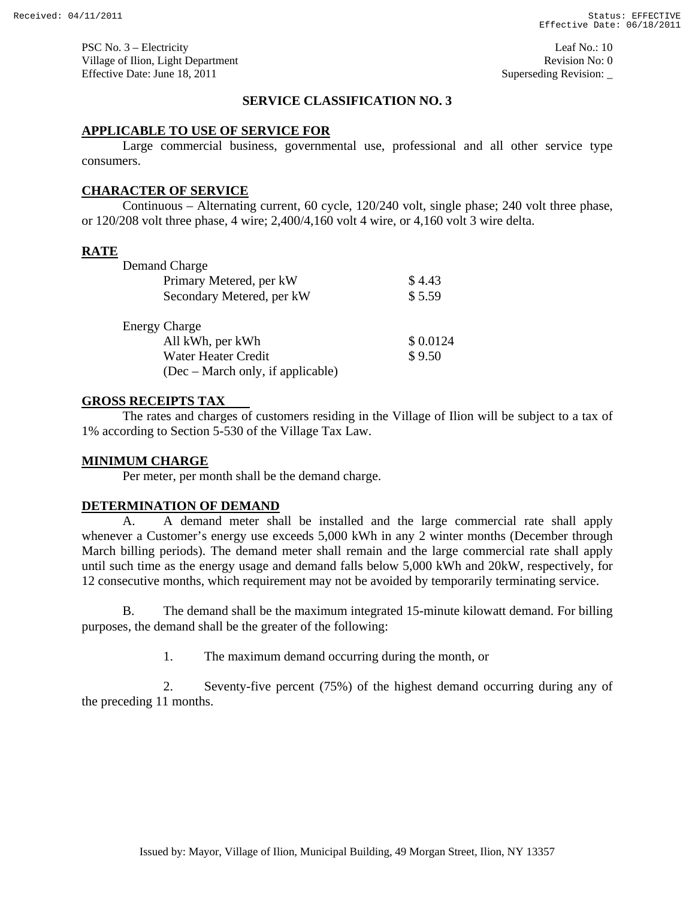PSC No. 3 – Electricity Leaf No.: 10 Village of Ilion, Light Department **Revision No: 0 Revision No: 0** Effective Date: June 18, 2011 Superseding Revision:

# **SERVICE CLASSIFICATION NO. 3**

### **APPLICABLE TO USE OF SERVICE FOR**

 Large commercial business, governmental use, professional and all other service type consumers.

### **CHARACTER OF SERVICE**

 Continuous – Alternating current, 60 cycle, 120/240 volt, single phase; 240 volt three phase, or 120/208 volt three phase, 4 wire; 2,400/4,160 volt 4 wire, or 4,160 volt 3 wire delta.

### **RATE**

| \$4.43   |
|----------|
| \$5.59   |
|          |
| \$0.0124 |
| \$9.50   |
|          |
|          |

### **GROSS RECEIPTS TAX**

The rates and charges of customers residing in the Village of Ilion will be subject to a tax of 1% according to Section 5-530 of the Village Tax Law.

#### **MINIMUM CHARGE**

Per meter, per month shall be the demand charge.

#### **DETERMINATION OF DEMAND**

A. A demand meter shall be installed and the large commercial rate shall apply whenever a Customer's energy use exceeds 5,000 kWh in any 2 winter months (December through March billing periods). The demand meter shall remain and the large commercial rate shall apply until such time as the energy usage and demand falls below 5,000 kWh and 20kW, respectively, for 12 consecutive months, which requirement may not be avoided by temporarily terminating service.

B. The demand shall be the maximum integrated 15-minute kilowatt demand. For billing purposes, the demand shall be the greater of the following:

1. The maximum demand occurring during the month, or

2. Seventy-five percent (75%) of the highest demand occurring during any of the preceding 11 months.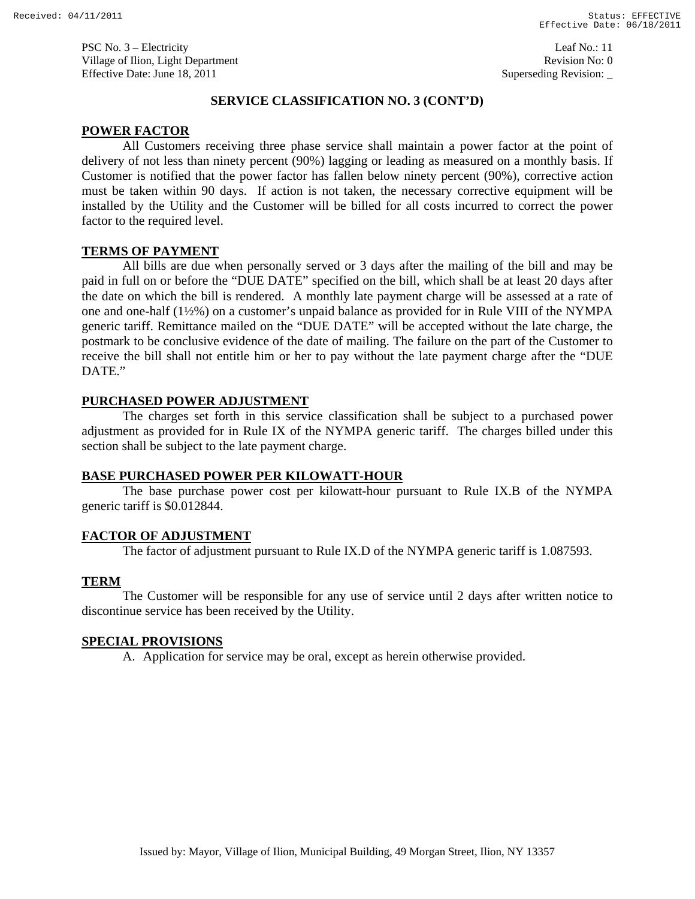### **SERVICE CLASSIFICATION NO. 3 (CONT'D)**

# **POWER FACTOR**

All Customers receiving three phase service shall maintain a power factor at the point of delivery of not less than ninety percent (90%) lagging or leading as measured on a monthly basis. If Customer is notified that the power factor has fallen below ninety percent (90%), corrective action must be taken within 90 days. If action is not taken, the necessary corrective equipment will be installed by the Utility and the Customer will be billed for all costs incurred to correct the power factor to the required level.

# **TERMS OF PAYMENT**

All bills are due when personally served or 3 days after the mailing of the bill and may be paid in full on or before the "DUE DATE" specified on the bill, which shall be at least 20 days after the date on which the bill is rendered. A monthly late payment charge will be assessed at a rate of one and one-half (1½%) on a customer's unpaid balance as provided for in Rule VIII of the NYMPA generic tariff. Remittance mailed on the "DUE DATE" will be accepted without the late charge, the postmark to be conclusive evidence of the date of mailing. The failure on the part of the Customer to receive the bill shall not entitle him or her to pay without the late payment charge after the "DUE DATE."

# **PURCHASED POWER ADJUSTMENT**

The charges set forth in this service classification shall be subject to a purchased power adjustment as provided for in Rule IX of the NYMPA generic tariff. The charges billed under this section shall be subject to the late payment charge.

### **BASE PURCHASED POWER PER KILOWATT-HOUR**

 The base purchase power cost per kilowatt-hour pursuant to Rule IX.B of the NYMPA generic tariff is \$0.012844.

# **FACTOR OF ADJUSTMENT**

The factor of adjustment pursuant to Rule IX.D of the NYMPA generic tariff is 1.087593.

# **TERM**

 The Customer will be responsible for any use of service until 2 days after written notice to discontinue service has been received by the Utility.

# **SPECIAL PROVISIONS**

A. Application for service may be oral, except as herein otherwise provided.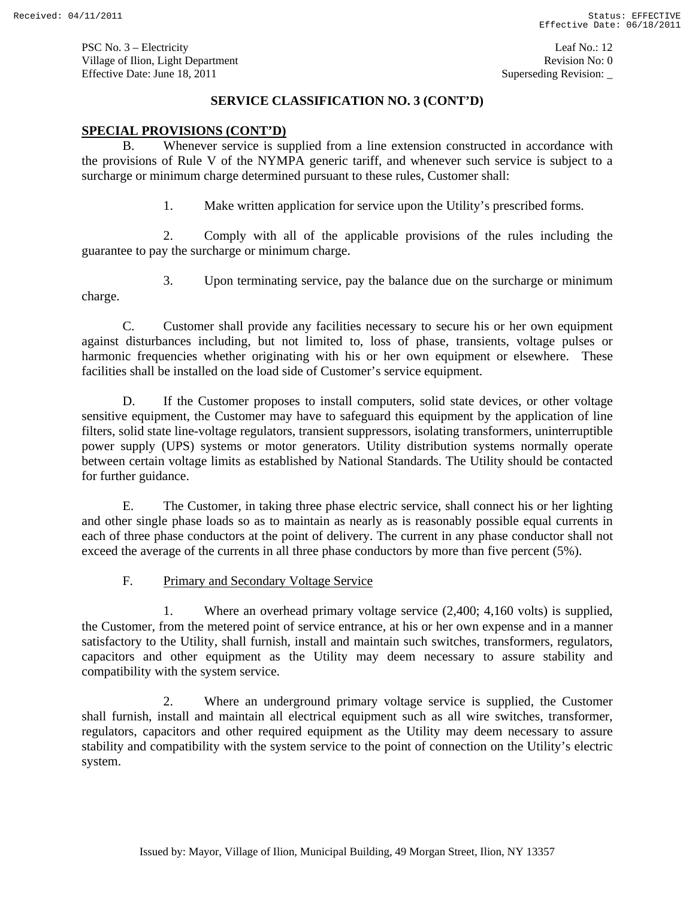PSC No. 3 – Electricity Leaf No.: 12 Village of Ilion, Light Department **Revision No: 0 Revision No: 0** Effective Date: June 18, 2011 Superseding Revision:

# **SERVICE CLASSIFICATION NO. 3 (CONT'D)**

### **SPECIAL PROVISIONS (CONT'D)**

B. Whenever service is supplied from a line extension constructed in accordance with the provisions of Rule V of the NYMPA generic tariff, and whenever such service is subject to a surcharge or minimum charge determined pursuant to these rules, Customer shall:

1. Make written application for service upon the Utility's prescribed forms.

2. Comply with all of the applicable provisions of the rules including the guarantee to pay the surcharge or minimum charge.

3. Upon terminating service, pay the balance due on the surcharge or minimum charge.

C. Customer shall provide any facilities necessary to secure his or her own equipment against disturbances including, but not limited to, loss of phase, transients, voltage pulses or harmonic frequencies whether originating with his or her own equipment or elsewhere. These facilities shall be installed on the load side of Customer's service equipment.

D. If the Customer proposes to install computers, solid state devices, or other voltage sensitive equipment, the Customer may have to safeguard this equipment by the application of line filters, solid state line-voltage regulators, transient suppressors, isolating transformers, uninterruptible power supply (UPS) systems or motor generators. Utility distribution systems normally operate between certain voltage limits as established by National Standards. The Utility should be contacted for further guidance.

E. The Customer, in taking three phase electric service, shall connect his or her lighting and other single phase loads so as to maintain as nearly as is reasonably possible equal currents in each of three phase conductors at the point of delivery. The current in any phase conductor shall not exceed the average of the currents in all three phase conductors by more than five percent (5%).

F. Primary and Secondary Voltage Service

1. Where an overhead primary voltage service (2,400; 4,160 volts) is supplied, the Customer, from the metered point of service entrance, at his or her own expense and in a manner satisfactory to the Utility, shall furnish, install and maintain such switches, transformers, regulators, capacitors and other equipment as the Utility may deem necessary to assure stability and compatibility with the system service.

2. Where an underground primary voltage service is supplied, the Customer shall furnish, install and maintain all electrical equipment such as all wire switches, transformer, regulators, capacitors and other required equipment as the Utility may deem necessary to assure stability and compatibility with the system service to the point of connection on the Utility's electric system.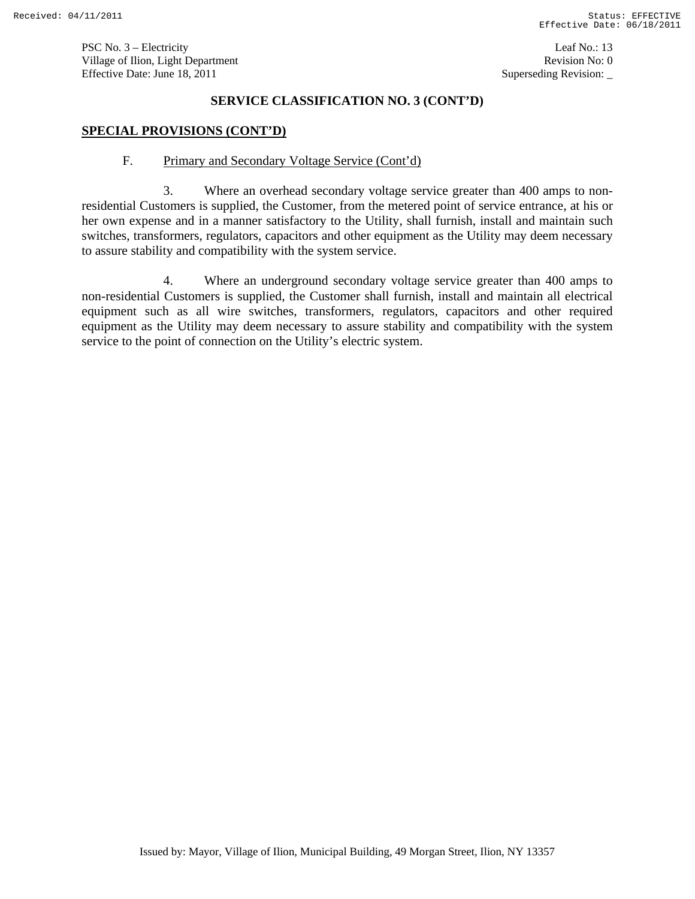PSC No. 3 – Electricity Leaf No.: 13 Village of Ilion, Light Department **Revision No: 0 Revision No: 0** Effective Date: June 18, 2011 Superseding Revision:

# **SERVICE CLASSIFICATION NO. 3 (CONT'D)**

### **SPECIAL PROVISIONS (CONT'D)**

### F. Primary and Secondary Voltage Service (Cont'd)

3. Where an overhead secondary voltage service greater than 400 amps to nonresidential Customers is supplied, the Customer, from the metered point of service entrance, at his or her own expense and in a manner satisfactory to the Utility, shall furnish, install and maintain such switches, transformers, regulators, capacitors and other equipment as the Utility may deem necessary to assure stability and compatibility with the system service.

4. Where an underground secondary voltage service greater than 400 amps to non-residential Customers is supplied, the Customer shall furnish, install and maintain all electrical equipment such as all wire switches, transformers, regulators, capacitors and other required equipment as the Utility may deem necessary to assure stability and compatibility with the system service to the point of connection on the Utility's electric system.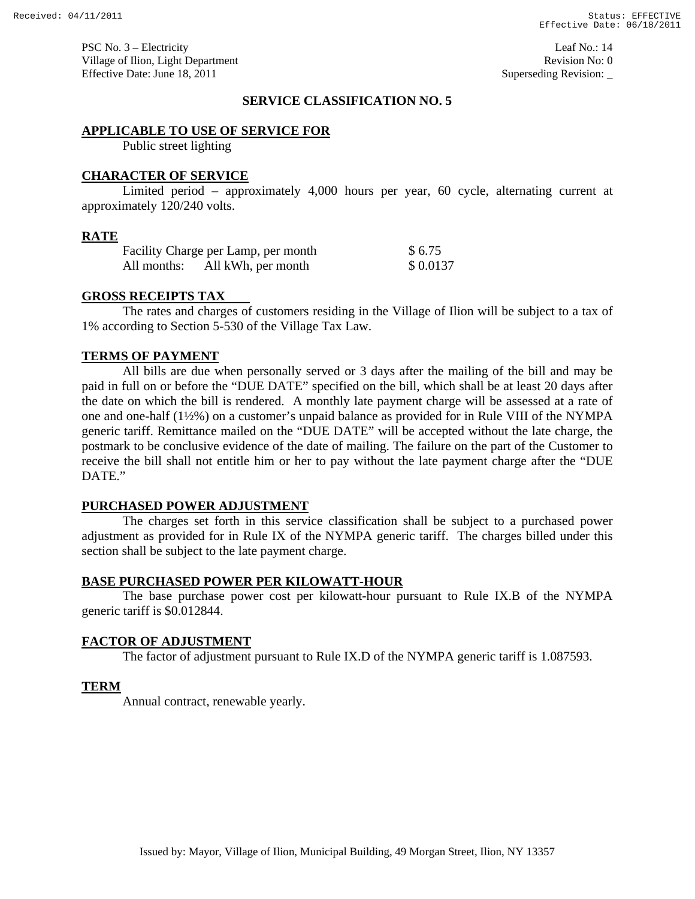PSC No. 3 – Electricity Leaf No.: 14 Village of Ilion, Light Department **Revision No: 0 Revision No: 0** Effective Date: June 18, 2011 Superseding Revision:

# **SERVICE CLASSIFICATION NO. 5**

#### **APPLICABLE TO USE OF SERVICE FOR**

Public street lighting

### **CHARACTER OF SERVICE**

 Limited period – approximately 4,000 hours per year, 60 cycle, alternating current at approximately 120/240 volts.

#### **RATE**

| Facility Charge per Lamp, per month | \$6.75   |  |
|-------------------------------------|----------|--|
| All months: All kWh, per month      | \$0.0137 |  |

#### **GROSS RECEIPTS TAX**

The rates and charges of customers residing in the Village of Ilion will be subject to a tax of 1% according to Section 5-530 of the Village Tax Law.

### **TERMS OF PAYMENT**

All bills are due when personally served or 3 days after the mailing of the bill and may be paid in full on or before the "DUE DATE" specified on the bill, which shall be at least 20 days after the date on which the bill is rendered. A monthly late payment charge will be assessed at a rate of one and one-half (1½%) on a customer's unpaid balance as provided for in Rule VIII of the NYMPA generic tariff. Remittance mailed on the "DUE DATE" will be accepted without the late charge, the postmark to be conclusive evidence of the date of mailing. The failure on the part of the Customer to receive the bill shall not entitle him or her to pay without the late payment charge after the "DUE DATE."

#### **PURCHASED POWER ADJUSTMENT**

The charges set forth in this service classification shall be subject to a purchased power adjustment as provided for in Rule IX of the NYMPA generic tariff. The charges billed under this section shall be subject to the late payment charge.

#### **BASE PURCHASED POWER PER KILOWATT-HOUR**

 The base purchase power cost per kilowatt-hour pursuant to Rule IX.B of the NYMPA generic tariff is \$0.012844.

#### **FACTOR OF ADJUSTMENT**

The factor of adjustment pursuant to Rule IX.D of the NYMPA generic tariff is 1.087593.

#### **TERM**

Annual contract, renewable yearly.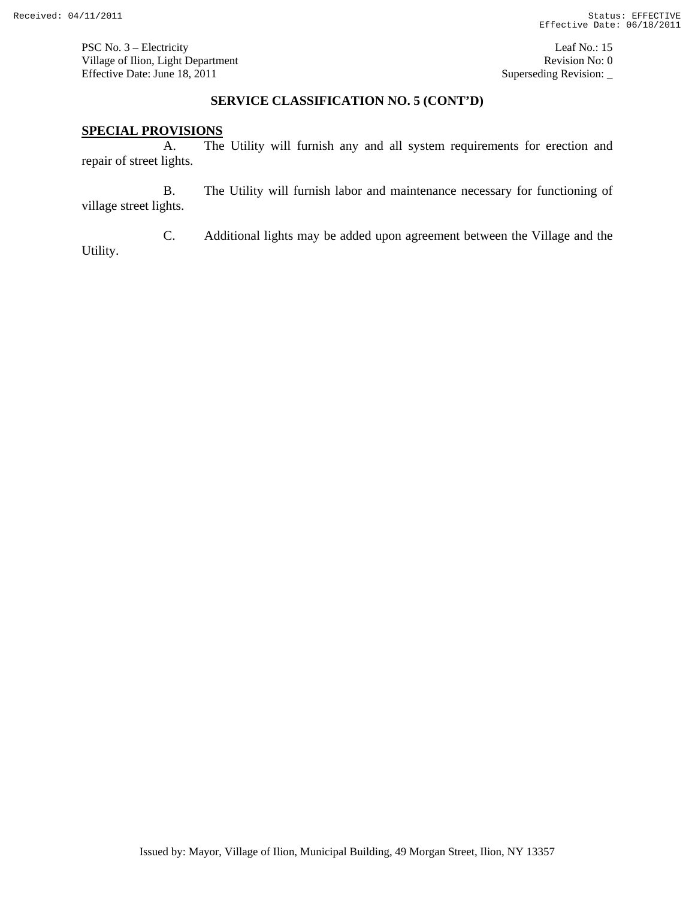PSC No. 3 – Electricity Leaf No.: 15 Village of Ilion, Light Department Revision No: 0 Effective Date: June 18, 2011 Superseding Revision:

### **SERVICE CLASSIFICATION NO. 5 (CONT'D)**

### **SPECIAL PROVISIONS**

A. The Utility will furnish any and all system requirements for erection and repair of street lights.

B. The Utility will furnish labor and maintenance necessary for functioning of village street lights.

C. Additional lights may be added upon agreement between the Village and the Utility.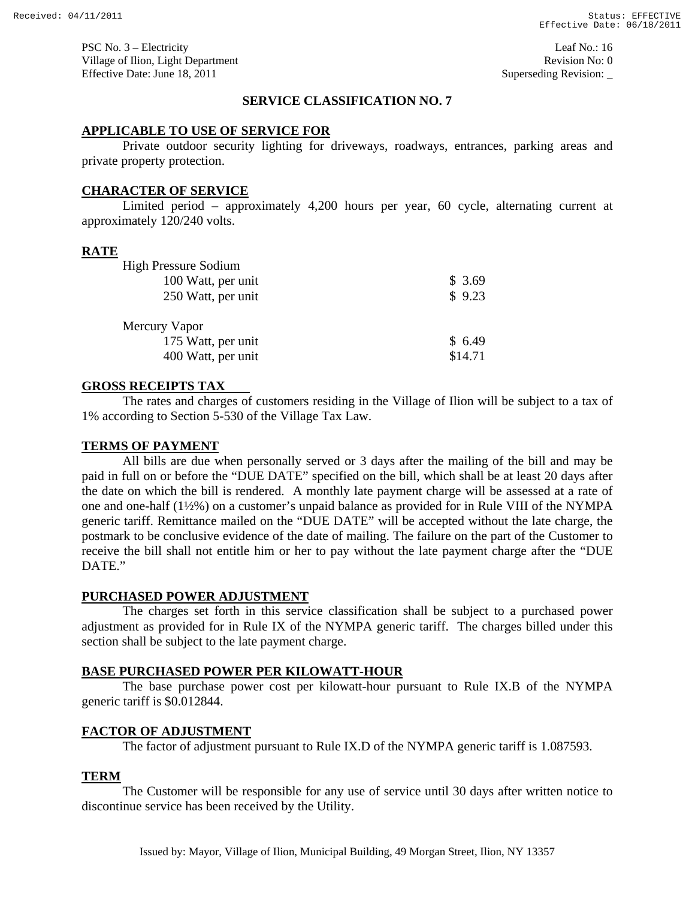PSC No. 3 – Electricity Leaf No.: 16 Village of Ilion, Light Department **Revision No: 0 Revision No: 0** Effective Date: June 18, 2011 Superseding Revision:

# **SERVICE CLASSIFICATION NO. 7**

### **APPLICABLE TO USE OF SERVICE FOR**

Private outdoor security lighting for driveways, roadways, entrances, parking areas and private property protection.

### **CHARACTER OF SERVICE**

 Limited period – approximately 4,200 hours per year, 60 cycle, alternating current at approximately 120/240 volts.

### **RATE**

| <b>High Pressure Sodium</b> |        |
|-----------------------------|--------|
| 100 Watt, per unit          | \$3.69 |
| 250 Watt, per unit          | \$9.23 |
| Mercury Vapor               |        |
|                             |        |
| 175 Watt, per unit          | \$6.49 |

### **GROSS RECEIPTS TAX**

The rates and charges of customers residing in the Village of Ilion will be subject to a tax of 1% according to Section 5-530 of the Village Tax Law.

### **TERMS OF PAYMENT**

All bills are due when personally served or 3 days after the mailing of the bill and may be paid in full on or before the "DUE DATE" specified on the bill, which shall be at least 20 days after the date on which the bill is rendered. A monthly late payment charge will be assessed at a rate of one and one-half (1½%) on a customer's unpaid balance as provided for in Rule VIII of the NYMPA generic tariff. Remittance mailed on the "DUE DATE" will be accepted without the late charge, the postmark to be conclusive evidence of the date of mailing. The failure on the part of the Customer to receive the bill shall not entitle him or her to pay without the late payment charge after the "DUE DATE."

### **PURCHASED POWER ADJUSTMENT**

The charges set forth in this service classification shall be subject to a purchased power adjustment as provided for in Rule IX of the NYMPA generic tariff. The charges billed under this section shall be subject to the late payment charge.

#### **BASE PURCHASED POWER PER KILOWATT-HOUR**

 The base purchase power cost per kilowatt-hour pursuant to Rule IX.B of the NYMPA generic tariff is \$0.012844.

### **FACTOR OF ADJUSTMENT**

The factor of adjustment pursuant to Rule IX.D of the NYMPA generic tariff is 1.087593.

# **TERM**

 The Customer will be responsible for any use of service until 30 days after written notice to discontinue service has been received by the Utility.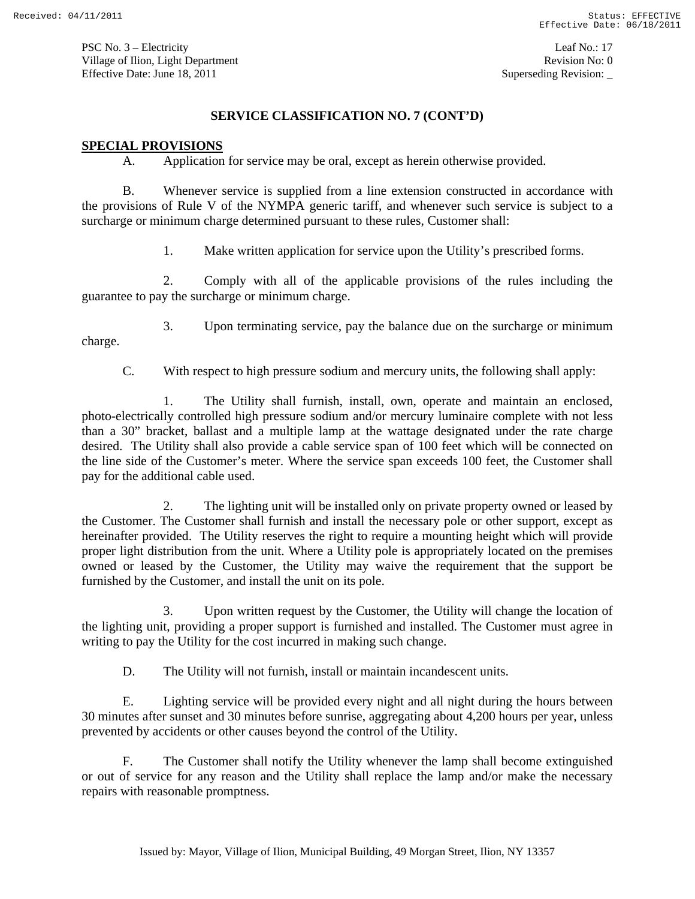PSC No. 3 – Electricity Leaf No.: 17 Village of Ilion, Light Department **Revision No: 0 Revision No: 0** Effective Date: June 18, 2011 Superseding Revision:

# **SERVICE CLASSIFICATION NO. 7 (CONT'D)**

### **SPECIAL PROVISIONS**

A. Application for service may be oral, except as herein otherwise provided.

B. Whenever service is supplied from a line extension constructed in accordance with the provisions of Rule V of the NYMPA generic tariff, and whenever such service is subject to a surcharge or minimum charge determined pursuant to these rules, Customer shall:

1. Make written application for service upon the Utility's prescribed forms.

2. Comply with all of the applicable provisions of the rules including the guarantee to pay the surcharge or minimum charge.

3. Upon terminating service, pay the balance due on the surcharge or minimum

charge.

C. With respect to high pressure sodium and mercury units, the following shall apply:

1. The Utility shall furnish, install, own, operate and maintain an enclosed, photo-electrically controlled high pressure sodium and/or mercury luminaire complete with not less than a 30" bracket, ballast and a multiple lamp at the wattage designated under the rate charge desired. The Utility shall also provide a cable service span of 100 feet which will be connected on the line side of the Customer's meter. Where the service span exceeds 100 feet, the Customer shall pay for the additional cable used.

2. The lighting unit will be installed only on private property owned or leased by the Customer. The Customer shall furnish and install the necessary pole or other support, except as hereinafter provided. The Utility reserves the right to require a mounting height which will provide proper light distribution from the unit. Where a Utility pole is appropriately located on the premises owned or leased by the Customer, the Utility may waive the requirement that the support be furnished by the Customer, and install the unit on its pole.

3. Upon written request by the Customer, the Utility will change the location of the lighting unit, providing a proper support is furnished and installed. The Customer must agree in writing to pay the Utility for the cost incurred in making such change.

D. The Utility will not furnish, install or maintain incandescent units.

E. Lighting service will be provided every night and all night during the hours between 30 minutes after sunset and 30 minutes before sunrise, aggregating about 4,200 hours per year, unless prevented by accidents or other causes beyond the control of the Utility.

F. The Customer shall notify the Utility whenever the lamp shall become extinguished or out of service for any reason and the Utility shall replace the lamp and/or make the necessary repairs with reasonable promptness.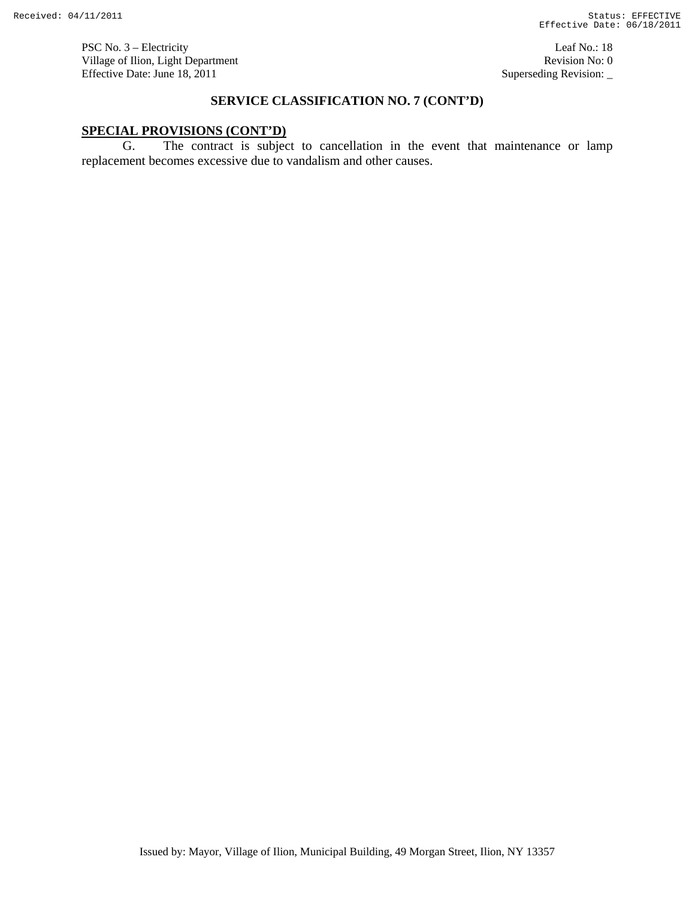PSC No. 3 – Electricity Leaf No.: 18 Village of Ilion, Light Department Revision No: 0 Effective Date: June 18, 2011 Superseding Revision:

# **SERVICE CLASSIFICATION NO. 7 (CONT'D)**

# **SPECIAL PROVISIONS (CONT'D)**

G. The contract is subject to cancellation in the event that maintenance or lamp replacement becomes excessive due to vandalism and other causes.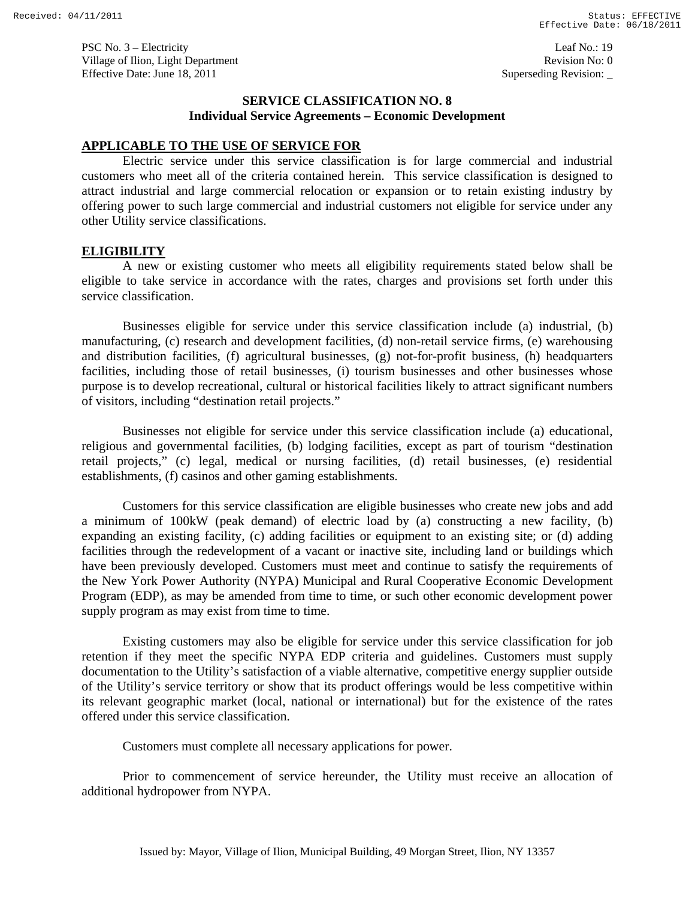PSC No. 3 – Electricity Leaf No.: 19 Village of Ilion, Light Department **Revision No: 0 Revision No: 0** Effective Date: June 18, 2011 Superseding Revision:

# **SERVICE CLASSIFICATION NO. 8 Individual Service Agreements – Economic Development**

### **APPLICABLE TO THE USE OF SERVICE FOR**

 Electric service under this service classification is for large commercial and industrial customers who meet all of the criteria contained herein. This service classification is designed to attract industrial and large commercial relocation or expansion or to retain existing industry by offering power to such large commercial and industrial customers not eligible for service under any other Utility service classifications.

#### **ELIGIBILITY**

 A new or existing customer who meets all eligibility requirements stated below shall be eligible to take service in accordance with the rates, charges and provisions set forth under this service classification.

Businesses eligible for service under this service classification include (a) industrial, (b) manufacturing, (c) research and development facilities, (d) non-retail service firms, (e) warehousing and distribution facilities, (f) agricultural businesses, (g) not-for-profit business, (h) headquarters facilities, including those of retail businesses, (i) tourism businesses and other businesses whose purpose is to develop recreational, cultural or historical facilities likely to attract significant numbers of visitors, including "destination retail projects."

 Businesses not eligible for service under this service classification include (a) educational, religious and governmental facilities, (b) lodging facilities, except as part of tourism "destination retail projects," (c) legal, medical or nursing facilities, (d) retail businesses, (e) residential establishments, (f) casinos and other gaming establishments.

 Customers for this service classification are eligible businesses who create new jobs and add a minimum of 100kW (peak demand) of electric load by (a) constructing a new facility, (b) expanding an existing facility, (c) adding facilities or equipment to an existing site; or (d) adding facilities through the redevelopment of a vacant or inactive site, including land or buildings which have been previously developed. Customers must meet and continue to satisfy the requirements of the New York Power Authority (NYPA) Municipal and Rural Cooperative Economic Development Program (EDP), as may be amended from time to time, or such other economic development power supply program as may exist from time to time.

Existing customers may also be eligible for service under this service classification for job retention if they meet the specific NYPA EDP criteria and guidelines. Customers must supply documentation to the Utility's satisfaction of a viable alternative, competitive energy supplier outside of the Utility's service territory or show that its product offerings would be less competitive within its relevant geographic market (local, national or international) but for the existence of the rates offered under this service classification.

Customers must complete all necessary applications for power.

Prior to commencement of service hereunder, the Utility must receive an allocation of additional hydropower from NYPA.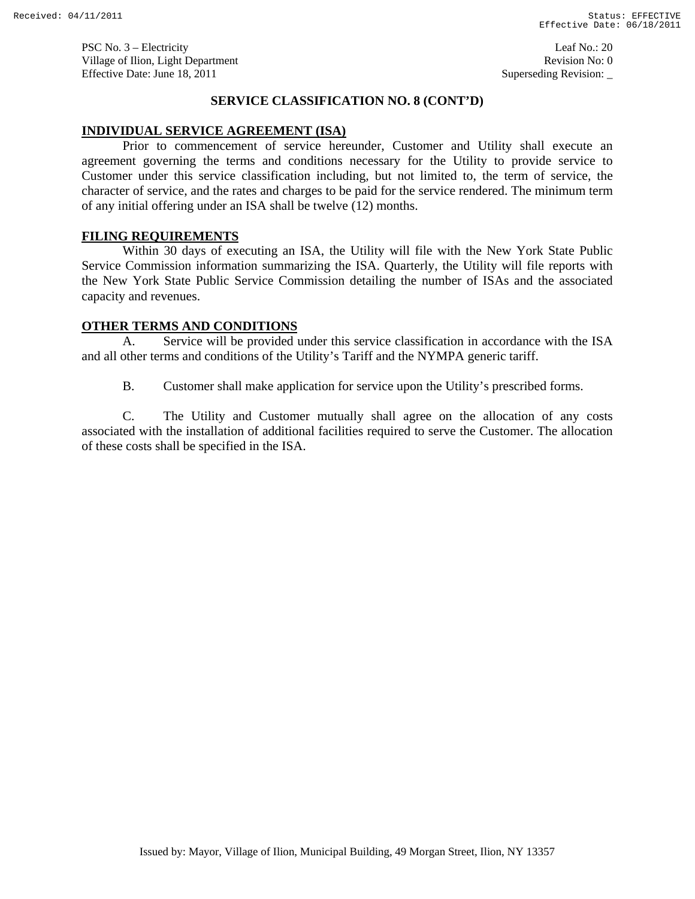PSC No. 3 – Electricity Leaf No.: 20 Village of Ilion, Light Department **Revision No: 0 Revision No: 0** Effective Date: June 18, 2011 Superseding Revision:

### **SERVICE CLASSIFICATION NO. 8 (CONT'D)**

### **INDIVIDUAL SERVICE AGREEMENT (ISA)**

 Prior to commencement of service hereunder, Customer and Utility shall execute an agreement governing the terms and conditions necessary for the Utility to provide service to Customer under this service classification including, but not limited to, the term of service, the character of service, and the rates and charges to be paid for the service rendered. The minimum term of any initial offering under an ISA shall be twelve (12) months.

### **FILING REQUIREMENTS**

 Within 30 days of executing an ISA, the Utility will file with the New York State Public Service Commission information summarizing the ISA. Quarterly, the Utility will file reports with the New York State Public Service Commission detailing the number of ISAs and the associated capacity and revenues.

### **OTHER TERMS AND CONDITIONS**

A. Service will be provided under this service classification in accordance with the ISA and all other terms and conditions of the Utility's Tariff and the NYMPA generic tariff.

B. Customer shall make application for service upon the Utility's prescribed forms.

C. The Utility and Customer mutually shall agree on the allocation of any costs associated with the installation of additional facilities required to serve the Customer. The allocation of these costs shall be specified in the ISA.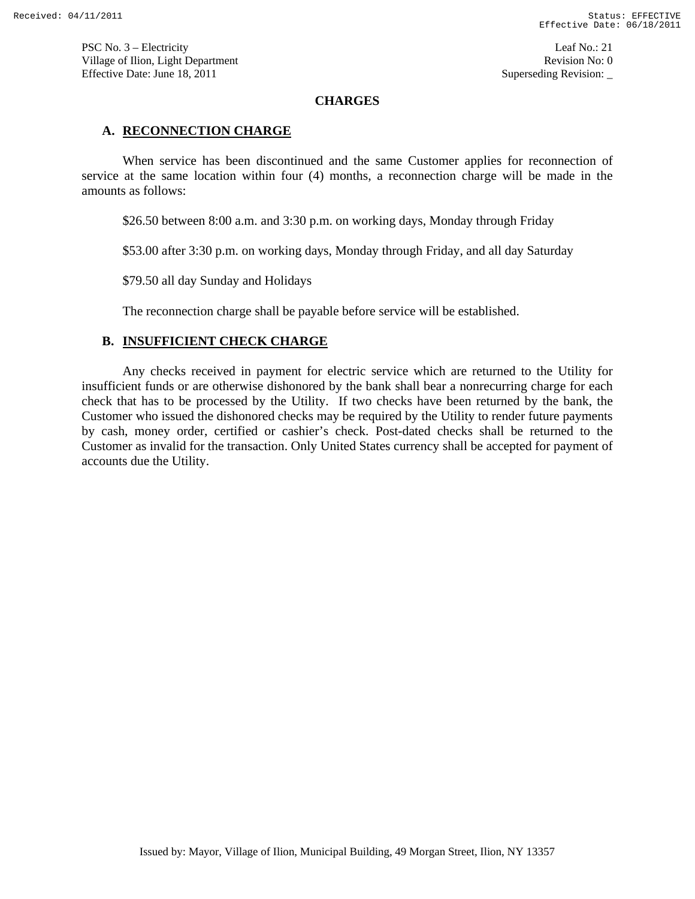PSC No. 3 – Electricity Leaf No.: 21 Village of Ilion, Light Department **Revision No: 0 Revision No: 0** Effective Date: June 18, 2011 Superseding Revision:

### **CHARGES**

### **A. RECONNECTION CHARGE**

When service has been discontinued and the same Customer applies for reconnection of service at the same location within four (4) months, a reconnection charge will be made in the amounts as follows:

\$26.50 between 8:00 a.m. and 3:30 p.m. on working days, Monday through Friday

\$53.00 after 3:30 p.m. on working days, Monday through Friday, and all day Saturday

\$79.50 all day Sunday and Holidays

The reconnection charge shall be payable before service will be established.

# **B. INSUFFICIENT CHECK CHARGE**

Any checks received in payment for electric service which are returned to the Utility for insufficient funds or are otherwise dishonored by the bank shall bear a nonrecurring charge for each check that has to be processed by the Utility. If two checks have been returned by the bank, the Customer who issued the dishonored checks may be required by the Utility to render future payments by cash, money order, certified or cashier's check. Post-dated checks shall be returned to the Customer as invalid for the transaction. Only United States currency shall be accepted for payment of accounts due the Utility.